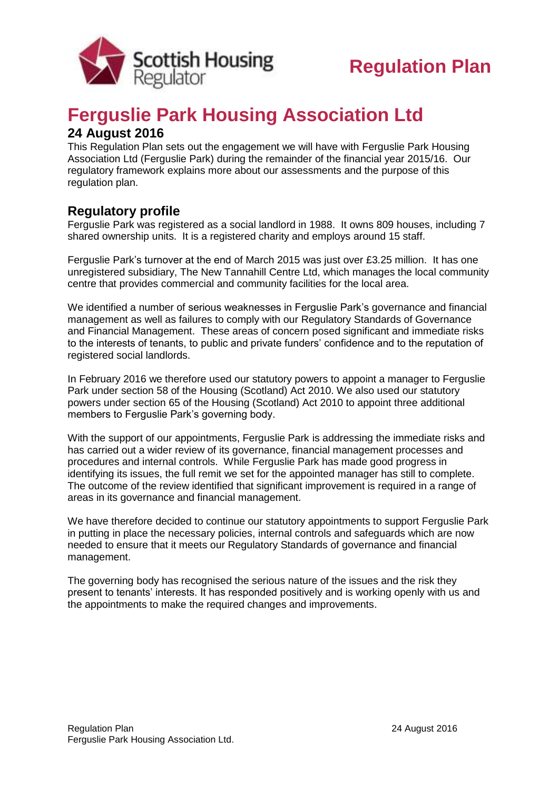

## **Ferguslie Park Housing Association Ltd**

## **24 August 2016**

This Regulation Plan sets out the engagement we will have with Ferguslie Park Housing Association Ltd (Ferguslie Park) during the remainder of the financial year 2015/16. Our regulatory framework explains more about our assessments and the purpose of this regulation plan.

## **Regulatory profile**

Ferguslie Park was registered as a social landlord in 1988. It owns 809 houses, including 7 shared ownership units. It is a registered charity and employs around 15 staff.

Ferguslie Park's turnover at the end of March 2015 was just over £3.25 million. It has one unregistered subsidiary, The New Tannahill Centre Ltd, which manages the local community centre that provides commercial and community facilities for the local area.

We identified a number of serious weaknesses in Ferguslie Park's governance and financial management as well as failures to comply with our Regulatory Standards of Governance and Financial Management. These areas of concern posed significant and immediate risks to the interests of tenants, to public and private funders' confidence and to the reputation of registered social landlords.

In February 2016 we therefore used our statutory powers to appoint a manager to Ferguslie Park under section 58 of the Housing (Scotland) Act 2010. We also used our statutory powers under section 65 of the Housing (Scotland) Act 2010 to appoint three additional members to Ferguslie Park's governing body.

With the support of our appointments, Ferguslie Park is addressing the immediate risks and has carried out a wider review of its governance, financial management processes and procedures and internal controls. While Ferguslie Park has made good progress in identifying its issues, the full remit we set for the appointed manager has still to complete. The outcome of the review identified that significant improvement is required in a range of areas in its governance and financial management.

We have therefore decided to continue our statutory appointments to support Ferguslie Park in putting in place the necessary policies, internal controls and safeguards which are now needed to ensure that it meets our Regulatory Standards of governance and financial management.

The governing body has recognised the serious nature of the issues and the risk they present to tenants' interests. It has responded positively and is working openly with us and the appointments to make the required changes and improvements.